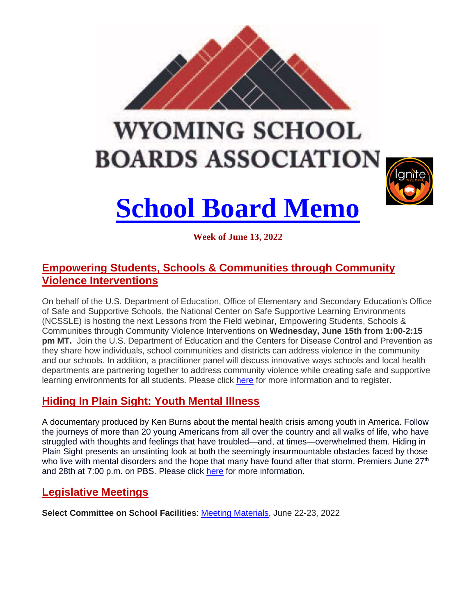

# **WYOMING SCHOOL BOARDS ASSOCIATION**



# **School Board Memo**

**Week of June 13, 2022**

# **Empowering Students, Schools & Communities through Community Violence Interventions**

On behalf of the U.S. Department of Education, Office of Elementary and Secondary Education's Office of Safe and Supportive Schools, the National Center on Safe Supportive Learning Environments (NCSSLE) is hosting the next Lessons from the Field webinar, Empowering Students, Schools & Communities through Community Violence Interventions on **Wednesday, June 15th from 1:00-2:15 pm MT.** Join the U.S. Department of Education and the Centers for Disease Control and Prevention as they share how individuals, school communities and districts can address violence in the community and our schools. In addition, a practitioner panel will discuss innovative ways schools and local health departments are partnering together to address community violence while creating safe and supportive learning environments for all students. Please click here for more information and to register.

# **Hiding In Plain Sight: Youth Mental Illness**

A documentary produced by Ken Burns about the mental health crisis among youth in America. Follow the journeys of more than 20 young Americans from all over the country and all walks of life, who have struggled with thoughts and feelings that have troubled—and, at times—overwhelmed them. Hiding in Plain Sight presents an unstinting look at both the seemingly insurmountable obstacles faced by those who live with mental disorders and the hope that many have found after that storm. Premiers June 27<sup>th</sup> and 28th at 7:00 p.m. on PBS. Please click here for more information.

### **Legislative Meetings**

**Select Committee on School Facilities**: Meeting Materials, June 22-23, 2022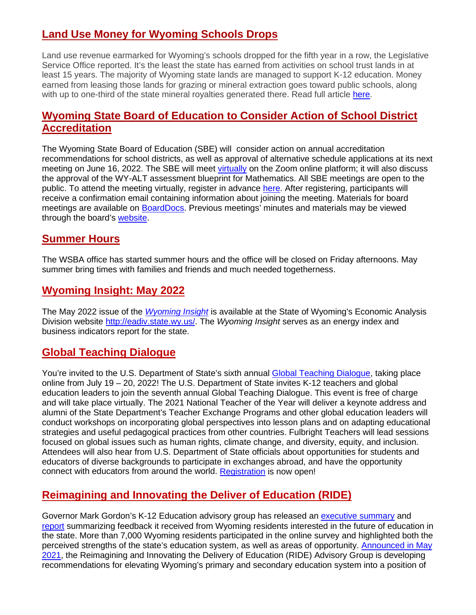### **Land Use Money for Wyoming Schools Drops**

Land use revenue earmarked for Wyoming's schools dropped for the fifth year in a row, the Legislative Service Office reported. It's the least the state has earned from activities on school trust lands in at least 15 years. The majority of Wyoming state lands are managed to support K-12 education. Money earned from leasing those lands for grazing or mineral extraction goes toward public schools, along with up to one-third of the state mineral royalties generated there. Read full article [here.](http://www.buffalobulletin.com/news/article_7664256e-e6a3-11ec-a7bf-23c6ba030291.html)

### **Wyoming State Board of Education to Consider Action of School District Accreditation**

The Wyoming State Board of Education (SBE) will consider action on annual accreditation recommendations for school districts, as well as approval of alternative schedule applications at its next meeting on June 16, 2022. The SBE will meet [virtually](https://lnks.gd/l/eyJhbGciOiJIUzI1NiJ9.eyJidWxsZXRpbl9saW5rX2lkIjoxMDAsInVyaSI6ImJwMjpjbGljayIsImJ1bGxldGluX2lkIjoiMjAyMjA2MTAuNTkyMTIzMDEiLCJ1cmwiOiJodHRwczovL3pvb20udXMvd2ViaW5hci9yZWdpc3Rlci9XTl9fVldDSkZHUFEzQ2pKTE9YT2pPazBBIn0.dUC0ukLWPe5dFyIeKcq8Re-6TdGfMENBCb1QlWOz5XQ/s/1451141400/br/132719532441-l) on the Zoom online platform; it will also discuss the approval of the WY-ALT assessment blueprint for Mathematics. All SBE meetings are open to the public. To attend the meeting virtually, register in advance [here.](https://lnks.gd/l/eyJhbGciOiJIUzI1NiJ9.eyJidWxsZXRpbl9saW5rX2lkIjoxMDEsInVyaSI6ImJwMjpjbGljayIsImJ1bGxldGluX2lkIjoiMjAyMjA2MTAuNTkyMTIzMDEiLCJ1cmwiOiJodHRwczovL3pvb20udXMvd2ViaW5hci9yZWdpc3Rlci9XTl9fVldDSkZHUFEzQ2pKTE9YT2pPazBBIn0.fFWOlLfRZWHjloW_YZfNicnd73Ps4TfQozWlCRKoaAw/s/1451141400/br/132719532441-l) After registering, participants will receive a confirmation email containing information about joining the meeting. Materials for board meetings are available on [BoardDocs.](https://lnks.gd/l/eyJhbGciOiJIUzI1NiJ9.eyJidWxsZXRpbl9saW5rX2lkIjoxMDIsInVyaSI6ImJwMjpjbGljayIsImJ1bGxldGluX2lkIjoiMjAyMjA2MTAuNTkyMTIzMDEiLCJ1cmwiOiJodHRwczovL2dvLmJvYXJkZG9jcy5jb20vd3kvd3lvcy9Cb2FyZC5uc2YifQ.Eg1mcK1ZJHAjW_SVtRtqrI-QaBwaYuXBDNtaJUJ442k/s/1451141400/br/132719532441-l) Previous meetings' minutes and materials may be viewed through the board's [website.](https://lnks.gd/l/eyJhbGciOiJIUzI1NiJ9.eyJidWxsZXRpbl9saW5rX2lkIjoxMDMsInVyaSI6ImJwMjpjbGljayIsImJ1bGxldGluX2lkIjoiMjAyMjA2MTAuNTkyMTIzMDEiLCJ1cmwiOiJodHRwczovL2VkdS53eW9taW5nLmdvdi9ib2FyZC9yZXNvdXJjZXMvbWVldGluZy1tYXRlcmlhbHMifQ.fyMybBqW9SDl1DfvmDC9d_fC28snnf7lyvuV8GiJs5A/s/1451141400/br/132719532441-l)

#### **Summer Hours**

The WSBA office has started summer hours and the office will be closed on Friday afternoons. May summer bring times with families and friends and much needed togetherness.

#### **Wyoming Insight: May 2022**

The May 2022 issue of the *[Wyoming](http://eadiv.state.wy.us/Insight/WY_Insight522.pdf) Insight* is available at the State of Wyoming's Economic Analysis Division website [http://eadiv.state.wy.us/.](http://eadiv.state.wy.us/) The *Wyoming Insight* serves as an energy index and business indicators report for the state.

### **Global Teaching Dialogue**

You're invited to the U.S. Department of State's sixth annual [Global Teaching Dialogue,](https://irex.us1.list-manage.com/track/click?u=4d9a146ddb2341cd8c3fd9061&id=8b43ef2571&e=fbac389f26) taking place online from July 19 – 20, 2022! The U.S. Department of State invites K-12 teachers and global education leaders to join the seventh annual Global Teaching Dialogue. This event is free of charge and will take place virtually. The 2021 National Teacher of the Year will deliver a keynote address and alumni of the State Department's Teacher Exchange Programs and other global education leaders will conduct workshops on incorporating global perspectives into lesson plans and on adapting educational strategies and useful pedagogical practices from other countries. Fulbright Teachers will lead sessions focused on global issues such as human rights, climate change, and diversity, equity, and inclusion. Attendees will also hear from U.S. Department of State officials about opportunities for students and educators of diverse backgrounds to participate in exchanges abroad, and have the opportunity connect with educators from around the world. [Registration](https://www.accelevents.com/e/2022-global-teaching-dialogue) is now open!

# **Reimagining and Innovating the Deliver of Education (RIDE)**

Governor Mark Gordon's K-12 Education advisory group has released an [executive summary](https://drive.google.com/file/d/12jl6hNr9Ag2SHIL2cwRgOY_5HGmdR6lk/view) and [report](https://drive.google.com/file/d/1vfNSsTODLJFNpv_g7x6aTqXaNJbFKDnG/view) summarizing feedback it received from Wyoming residents interested in the future of education in the state. More than 7,000 Wyoming residents participated in the online survey and highlighted both the perceived strengths of the state's education system, as well as areas of opportunity. [Announced in May](https://lnks.gd/l/eyJhbGciOiJIUzI1NiJ9.eyJidWxsZXRpbl9saW5rX2lkIjoxMDIsInVyaSI6ImJwMjpjbGljayIsImJ1bGxldGluX2lkIjoiMjAyMjA1MTMuNTc4OTcyMTEiLCJ1cmwiOiJodHRwczovL2dvdmVybm9yLnd5by5nb3YvbWVkaWEvbmV3cy1yZWxlYXNlcy8yMDIxLW5ld3MtcmVsZWFzZXMvZ292ZXJub3ItaW50cm9kdWNlcy1yaWRlLWFkdmlzb3J5LWdyb3VwLXRvLWxlYWQtay0xMi1lZHVjYXRpb24taW5pdGlhdGl2ZSJ9.bRpwI_fLL6W9Eo7_0rbpmhxwbvXFEBea-idAmQsaPe0/s/401270012/br/131313487468-l)  [2021,](https://lnks.gd/l/eyJhbGciOiJIUzI1NiJ9.eyJidWxsZXRpbl9saW5rX2lkIjoxMDIsInVyaSI6ImJwMjpjbGljayIsImJ1bGxldGluX2lkIjoiMjAyMjA1MTMuNTc4OTcyMTEiLCJ1cmwiOiJodHRwczovL2dvdmVybm9yLnd5by5nb3YvbWVkaWEvbmV3cy1yZWxlYXNlcy8yMDIxLW5ld3MtcmVsZWFzZXMvZ292ZXJub3ItaW50cm9kdWNlcy1yaWRlLWFkdmlzb3J5LWdyb3VwLXRvLWxlYWQtay0xMi1lZHVjYXRpb24taW5pdGlhdGl2ZSJ9.bRpwI_fLL6W9Eo7_0rbpmhxwbvXFEBea-idAmQsaPe0/s/401270012/br/131313487468-l) the Reimagining and Innovating the Delivery of Education (RIDE) Advisory Group is developing recommendations for elevating Wyoming's primary and secondary education system into a position of